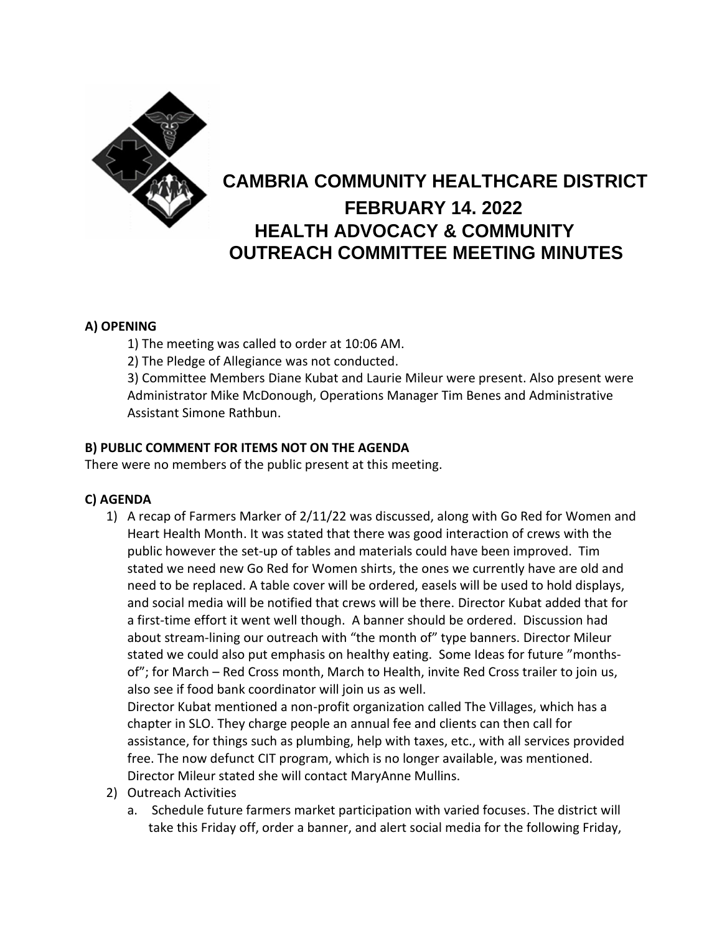

# **CAMBRIA COMMUNITY HEALTHCARE DISTRICT FEBRUARY 14. 2022 HEALTH ADVOCACY & COMMUNITY OUTREACH COMMITTEE MEETING MINUTES**

### **A) OPENING**

1) The meeting was called to order at 10:06 AM.

2) The Pledge of Allegiance was not conducted.

3) Committee Members Diane Kubat and Laurie Mileur were present. Also present were Administrator Mike McDonough, Operations Manager Tim Benes and Administrative Assistant Simone Rathbun.

### **B) PUBLIC COMMENT FOR ITEMS NOT ON THE AGENDA**

There were no members of the public present at this meeting.

#### **C) AGENDA**

1) A recap of Farmers Marker of 2/11/22 was discussed, along with Go Red for Women and Heart Health Month. It was stated that there was good interaction of crews with the public however the set-up of tables and materials could have been improved. Tim stated we need new Go Red for Women shirts, the ones we currently have are old and need to be replaced. A table cover will be ordered, easels will be used to hold displays, and social media will be notified that crews will be there. Director Kubat added that for a first-time effort it went well though. A banner should be ordered. Discussion had about stream-lining our outreach with "the month of" type banners. Director Mileur stated we could also put emphasis on healthy eating. Some Ideas for future "monthsof"; for March – Red Cross month, March to Health, invite Red Cross trailer to join us, also see if food bank coordinator will join us as well.

Director Kubat mentioned a non-profit organization called The Villages, which has a chapter in SLO. They charge people an annual fee and clients can then call for assistance, for things such as plumbing, help with taxes, etc., with all services provided free. The now defunct CIT program, which is no longer available, was mentioned. Director Mileur stated she will contact MaryAnne Mullins.

- 2) Outreach Activities
	- a. Schedule future farmers market participation with varied focuses. The district will take this Friday off, order a banner, and alert social media for the following Friday,